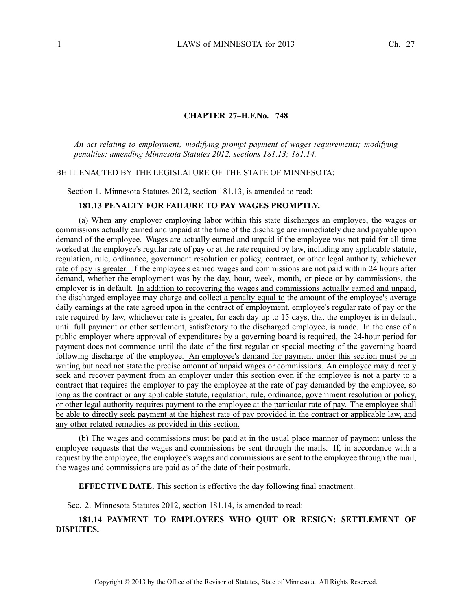### **CHAPTER 27–H.F.No. 748**

*An act relating to employment; modifying promp<sup>t</sup> paymen<sup>t</sup> of wages requirements; modifying penalties; amending Minnesota Statutes 2012, sections 181.13; 181.14.*

### BE IT ENACTED BY THE LEGISLATURE OF THE STATE OF MINNESOTA:

Section 1. Minnesota Statutes 2012, section 181.13, is amended to read:

### **181.13 PENALTY FOR FAILURE TO PAY WAGES PROMPTLY.**

(a) When any employer employing labor within this state discharges an employee, the wages or commissions actually earned and unpaid at the time of the discharge are immediately due and payable upon demand of the employee. Wages are actually earned and unpaid if the employee was not paid for all time worked at the employee's regular rate of pay or at the rate required by law, including any applicable statute, regulation, rule, ordinance, governmen<sup>t</sup> resolution or policy, contract, or other legal authority, whichever rate of pay is greater. If the employee's earned wages and commissions are not paid within 24 hours after demand, whether the employment was by the day, hour, week, month, or piece or by commissions, the employer is in default. In addition to recovering the wages and commissions actually earned and unpaid, the discharged employee may charge and collect <sup>a</sup> penalty equal to the amount of the employee's average daily earnings at the rate agreed upon in the contract of employment, employee's regular rate of pay or the rate required by law, whichever rate is greater, for each day up to 15 days, that the employer is in default, until full paymen<sup>t</sup> or other settlement, satisfactory to the discharged employee, is made. In the case of <sup>a</sup> public employer where approval of expenditures by <sup>a</sup> governing board is required, the 24-hour period for paymen<sup>t</sup> does not commence until the date of the first regular or special meeting of the governing board following discharge of the employee. An employee's demand for paymen<sup>t</sup> under this section must be in writing but need not state the precise amount of unpaid wages or commissions. An employee may directly seek and recover payment from an employer under this section even if the employee is not a party to a contract that requires the employer to pay the employee at the rate of pay demanded by the employee, so long as the contract or any applicable statute, regulation, rule, ordinance, governmen<sup>t</sup> resolution or policy, or other legal authority requires paymen<sup>t</sup> to the employee at the particular rate of pay. The employee shall be able to directly seek paymen<sup>t</sup> at the highest rate of pay provided in the contract or applicable law, and any other related remedies as provided in this section.

(b) The wages and commissions must be paid at in the usual place manner of paymen<sup>t</sup> unless the employee requests that the wages and commissions be sent through the mails. If, in accordance with a reques<sup>t</sup> by the employee, the employee's wages and commissions are sent to the employee through the mail, the wages and commissions are paid as of the date of their postmark.

**EFFECTIVE DATE.** This section is effective the day following final enactment.

Sec. 2. Minnesota Statutes 2012, section 181.14, is amended to read:

# **181.14 PAYMENT TO EMPLOYEES WHO QUIT OR RESIGN; SETTLEMENT OF DISPUTES.**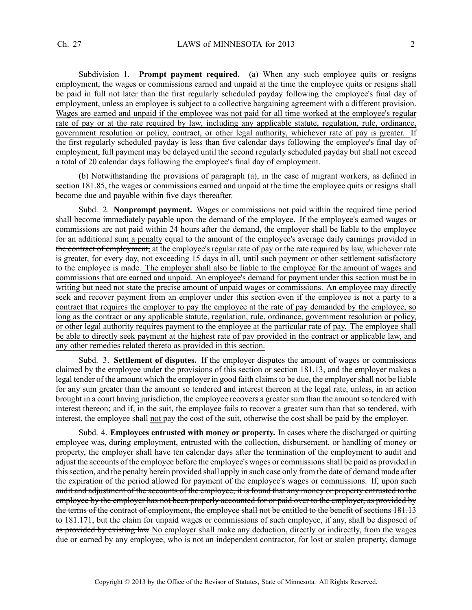Subdivision 1. **Prompt paymen<sup>t</sup> required.** (a) When any such employee quits or resigns employment, the wages or commissions earned and unpaid at the time the employee quits or resigns shall be paid in full not later than the first regularly scheduled payday following the employee's final day of employment, unless an employee is subject to <sup>a</sup> collective bargaining agreemen<sup>t</sup> with <sup>a</sup> different provision. Wages are earned and unpaid if the employee was not paid for all time worked at the employee's regular rate of pay or at the rate required by law, including any applicable statute, regulation, rule, ordinance, governmen<sup>t</sup> resolution or policy, contract, or other legal authority, whichever rate of pay is greater. If the first regularly scheduled payday is less than five calendar days following the employee's final day of employment, full paymen<sup>t</sup> may be delayed until the second regularly scheduled payday but shall not exceed <sup>a</sup> total of 20 calendar days following the employee's final day of employment.

(b) Notwithstanding the provisions of paragraph (a), in the case of migrant workers, as defined in section 181.85, the wages or commissions earned and unpaid at the time the employee quits or resigns shall become due and payable within five days thereafter.

Subd. 2. **Nonprompt payment.** Wages or commissions not paid within the required time period shall become immediately payable upon the demand of the employee. If the employee's earned wages or commissions are not paid within 24 hours after the demand, the employer shall be liable to the employee for an additional sum a penalty equal to the amount of the employee's average daily earnings provided in the contract of employment, at the employee's regular rate of pay or the rate required by law, whichever rate is greater, for every day, not exceeding 15 days in all, until such paymen<sup>t</sup> or other settlement satisfactory to the employee is made. The employer shall also be liable to the employee for the amount of wages and commissions that are earned and unpaid. An employee's demand for paymen<sup>t</sup> under this section must be in writing but need not state the precise amount of unpaid wages or commissions. An employee may directly seek and recover payment from an employer under this section even if the employee is not a party to a contract that requires the employer to pay the employee at the rate of pay demanded by the employee, so long as the contract or any applicable statute, regulation, rule, ordinance, governmen<sup>t</sup> resolution or policy, or other legal authority requires paymen<sup>t</sup> to the employee at the particular rate of pay. The employee shall be able to directly seek paymen<sup>t</sup> at the highest rate of pay provided in the contract or applicable law, and any other remedies related thereto as provided in this section.

Subd. 3. **Settlement of disputes.** If the employer disputes the amount of wages or commissions claimed by the employee under the provisions of this section or section 181.13, and the employer makes <sup>a</sup> legal tender of the amount which the employer in good faith claimsto be due, the employershall not be liable for any sum greater than the amount so tendered and interest thereon at the legal rate, unless, in an action brought in <sup>a</sup> court having jurisdiction, the employee recovers <sup>a</sup> greater sum than the amount so tendered with interest thereon; and if, in the suit, the employee fails to recover <sup>a</sup> greater sum than that so tendered, with interest, the employee shall not pay the cost of the suit, otherwise the cost shall be paid by the employer.

Subd. 4. **Employees entrusted with money or property.** In cases where the discharged or quitting employee was, during employment, entrusted with the collection, disbursement, or handling of money or property, the employer shall have ten calendar days after the termination of the employment to audit and adjust the accounts of the employee before the employee's wages or commissionsshall be paid as provided in thissection, and the penalty herein provided shall apply in such case only from the date of demand made after the expiration of the period allowed for payment of the employee's wages or commissions. If, upon such audit and adjustment of the accounts of the employee, it is found that any money or property entrusted to the employee by the employer has not been properly accounted for or paid over to the employer, as provided by the terms of the contract of employment, the employee shall not be entitled to the benefit of sections 181.13 to 181.171, but the claim for unpaid wages or commissions of such employee, if any, shall be disposed of as provided by existing law No employer shall make any deduction, directly or indirectly, from the wages due or earned by any employee, who is not an independent contractor, for lost or stolen property, damage